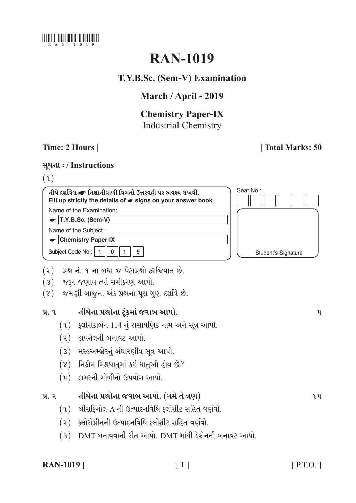

# **RAN-1019**

# T.Y.B.Sc. (Sem-V) Examination

# March / April - 2019

# **Chemistry Paper-IX Industrial Chemistry**

## Time: 2 Hours 1

# [Total Marks: 50

### સૂચના: / Instructions

 $(9)$ 

નીચે દર્શાવેલ ☞ નિશાનીવાળી વિગતો ઉત્તરવહી પર અવશ્ય લખવી. Fill up strictly the details of  $\bullet$  signs on your answer book Name of the Examination:  $\bullet$  T.Y.B.Sc. (Sem-V)

Name of the Subject:

 $\bullet$  Chemistry Paper-IX

Subject Code No.: | 1  $\overline{0}$  $1$  $\mathbf{9}$ 



- (૨) પ્રશ્ન નં. ૧ ના બધા જ પેટાપ્રશ્નો ફરજિયાત છે.
- (3) જરૂર જણાય ત્યાં સમીકરણ આપો.
- (४) જમણી બાજુના અંક પ્રશ્નના પુરા ગુણ દર્શાવે છે.

#### નીચેના પ્રશ્નોના ટૂંકમાં જવાબ આપો.  $9.9$

- $(9)$  ફ્લોરોકાર્બન-114 નું રાસાયણિક નામ અને સૂત્ર આપો.
- $(2)$  ડાયનેલની બનાવટ આપો.
- (3) મસ્કઅમ્બ્રેટનું બંધારણીય સૂત્ર આપો.
- $(8)$  નિક્રોમ મિશ્રધાતુમાં કઈ ધાતુઓ હોય છે?
- $(4)$  ડામરની ગોળીનો ઉપયોગ આપો.

#### નીચેના પ્રશ્નોના જવાબ આપો. (ગમે તે ત્રણ)  $y_{1}$ ,  $z_{1}$

- $(9)$  બીસકિનોલ-A ની ઉત્પાદનવિધિ ક્લોશીટ સહિત વર્ણવો.
- (૨) ક્લોરોપ્રીનની ઉત્પાદનવિધિ ક્લોશીટ સહિત વર્ણવો.
- (3) DMT બનાવવાની રીત આપો. DMT માંથી ડેક્રોનની બનાવટ આપો.

### **RAN-1019** ]

 $\mathbf{u}$ 

 $9<sub>u</sub>$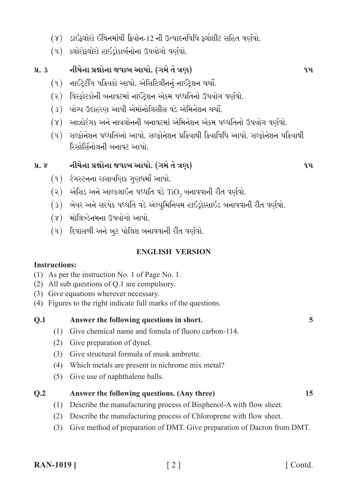- (૪) ડાઇફ્લોરો ઈથિનમાંથી ફ્રિયોન-12 ની ઉત્પાદનવિધિ ફ્લોશીટ સહિત વર્ણવો.
- (૫) ક્લોરોફ્લોરો હાઇડ્રોકાર્બનોના ઉપયોગો વર્ણવો.

#### નીચેના પ્રશ્નોના જવાબ આપો. (ગમે તે ત્રણ)  $\mathbf{u}$ ,  $\mathbf{3}$

- (૧) નાઇટ્રેટીંગ પક્રિયકો આપો. એસિટિલીનનું નાઇટ્રેશન ચર્ચો.
- (૨) વિસ્કોટકોની બનાવટમાં નાઇટેશન એકમ પધ્ધતિનો ઉપયોગ વર્ણવો.
- (૩) યોગ્ય ઉદાહરણ આપી એમોનોલિસીસ વડે એમિનેશન ચર્ચો.
- (૪) આઝોરંગક અને નાયલોનની બનાવટમાં એમિનેશન એકમ પધ્ધતિનો ઉપયોગ વર્ણવો.
- (૫) સલ્ફોનેશન પધ્ધતિઓ આપો. સલ્ફોનેશન પ્રક્રિયાથી ક્રિયાવિધિ આપો. સલ્ફોનેશન પક્રિયાથી રિસોર્સિનોલની બનાવટ આપો.

#### નીચેના પ્રશ્નોના જવાબ આપો. (ગમે તે ત્રણ)  $\lambda$ .  $\lambda$

- (૧) ટંગસ્ટનના રાસાયણિક ગુણધર્મો આપો.
- $(2)$  એસિડ અને આલ્કલાઈન પધ્ધતિ વડે TiO, બનાવવાની રીત વર્ણવો.
- (3) બેયર અને સરપેક પધ્ધતિ વડે એલ્યુમિનિયમ હાઇડ્રોક્સાઇડ બનાવવાની રીત વર્ણવો.
- (૪) મોલિબ્ડેનમના ઉપયોગો આપો.
- (૫) દિવાસળી અને બૂટ પોલિશ બનાવવાની રીત વર્ણવો.

### **ENGLISH VERSION**

### **Instructions:**

- (1) As per the instruction No. 1 of Page No. 1.
- $(2)$  All sub questions of O.1 are compulsory.
- (3) Give equations wherever necessary.
- (4) Figures to the right indicate full marks of the questions.

#### Answer the following questions in short.  $0.1$

- (1) Give chemical name and fomula of fluoro carbon-114.
- (2) Give preparation of dynel.
- (3) Give structural formula of musk ambrette.
- (4) Which metals are present in nichrome mix metal?
- (5) Give use of naphthalene balls.

#### $0.2$ Answer the following questions. (Any three)

- (1) Describe the manufacturing process of Bisphenol-A with flow sheet.
- (2) Describe the manufacturing process of Chloroprene with flow sheet.
- (3) Give method of preparation of DMT. Give preparation of Dacron from DMT.

 $9.11$ 

 $9<sub>u</sub>$ 

 $\overline{5}$ 

15